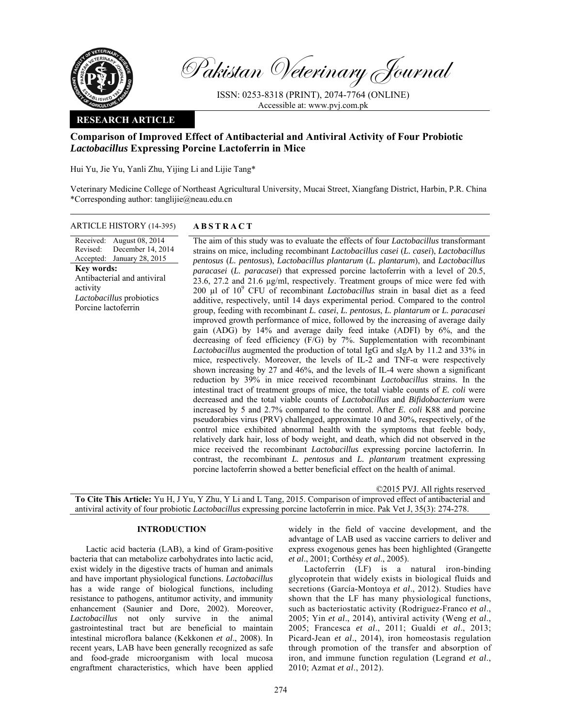

Pakistan Veterinary Journal

ISSN: 0253-8318 (PRINT), 2074-7764 (ONLINE) Accessible at: www.pvj.com.pk

## **RESEARCH ARTICLE**

# **Comparison of Improved Effect of Antibacterial and Antiviral Activity of Four Probiotic**  *Lactobacillus* **Expressing Porcine Lactoferrin in Mice**

Hui Yu, Jie Yu, Yanli Zhu, Yijing Li and Lijie Tang\*

Veterinary Medicine College of Northeast Agricultural University, Mucai Street, Xiangfang District, Harbin, P.R. China \*Corresponding author: tanglijie@neau.edu.cn

ARTICLE HISTORY (14-395) **ABSTRACT** 

#### Received: August 08, 2014 Revised: Accepted: December 14, 2014 January 28, 2015 **Key words:**  Antibacterial and antiviral activity *Lactobacillus* probiotics Porcine lactoferrin

 The aim of this study was to evaluate the effects of four *Lactobacillus* transformant strains on mice, including recombinant *Lactobacillus casei* (*L. casei*), *Lactobacillus pentosus* (*L. pentosus*), *Lactobacillus plantarum* (*L. plantarum*), and *Lactobacillus paracasei* (*L. paracasei*) that expressed porcine lactoferrin with a level of 20.5, 23.6, 27.2 and 21.6 µg/ml, respectively. Treatment groups of mice were fed with 200 µl of 10<sup>9</sup> CFU of recombinant *Lactobacillus* strain in basal diet as a feed additive, respectively, until 14 days experimental period. Compared to the control group, feeding with recombinant *L. casei*, *L. pentosus*, *L. plantarum* or *L. paracasei* improved growth performance of mice, followed by the increasing of average daily gain (ADG) by 14% and average daily feed intake (ADFI) by 6%, and the decreasing of feed efficiency (F/G) by 7%. Supplementation with recombinant *Lactobacillus* augmented the production of total IgG and sIgA by 11.2 and 33% in mice, respectively. Moreover, the levels of IL-2 and TNF-α were respectively shown increasing by 27 and 46%, and the levels of IL-4 were shown a significant reduction by 39% in mice received recombinant *Lactobacillus* strains. In the intestinal tract of treatment groups of mice, the total viable counts of *E. coli* were decreased and the total viable counts of *Lactobacillus* and *Bifidobacterium* were increased by 5 and 2.7% compared to the control. After *E. coli* K88 and porcine pseudorabies virus (PRV) challenged, approximate 10 and 30%, respectively, of the control mice exhibited abnormal health with the symptoms that feeble body, relatively dark hair, loss of body weight, and death, which did not observed in the mice received the recombinant *Lactobacillus* expressing porcine lactoferrin. In contrast, the recombinant *L. pentosus* and *L. plantarum* treatment expressing porcine lactoferrin showed a better beneficial effect on the health of animal.

| ©2015 PVJ. All rights reserved                                                                                               |
|------------------------------------------------------------------------------------------------------------------------------|
| <b>To Cite This Article:</b> Yu H, J Yu, Y Zhu, Y Li and L Tang, 2015. Comparison of improved effect of antibacterial and    |
| antiviral activity of four probiotic <i>Lactobacillus</i> expressing porcine lactoferrin in mice. Pak Vet J, 35(3): 274-278. |

# **INTRODUCTION**

Lactic acid bacteria (LAB), a kind of Gram-positive bacteria that can metabolize carbohydrates into lactic acid, exist widely in the digestive tracts of human and animals and have important physiological functions. *Lactobacillus*  has a wide range of biological functions, including resistance to pathogens, antitumor activity, and immunity enhancement (Saunier and Dore, 2002). Moreover, *Lactobacillus* not only survive in the animal gastrointestinal tract but are beneficial to maintain intestinal microflora balance (Kekkonen *et al*., 2008). In recent years, LAB have been generally recognized as safe and food-grade microorganism with local mucosa engraftment characteristics, which have been applied

widely in the field of vaccine development, and the advantage of LAB used as vaccine carriers to deliver and express exogenous genes has been highlighted (Grangette *et al*., 2001; Corthésy *et al*., 2005).

Lactoferrin (LF) is a natural iron-binding glycoprotein that widely exists in biological fluids and secretions (García-Montoya *et al*., 2012). Studies have shown that the LF has many physiological functions, such as bacteriostatic activity (Rodriguez-Franco *et al*., 2005; Yin *et al*., 2014), antiviral activity (Weng *et al*., 2005; Francesca *et al*., 2011; Gualdi *et al*., 2013; Picard-Jean *et al*., 2014), iron homeostasis regulation through promotion of the transfer and absorption of iron, and immune function regulation (Legrand *et al*., 2010; Azmat *et al*., 2012).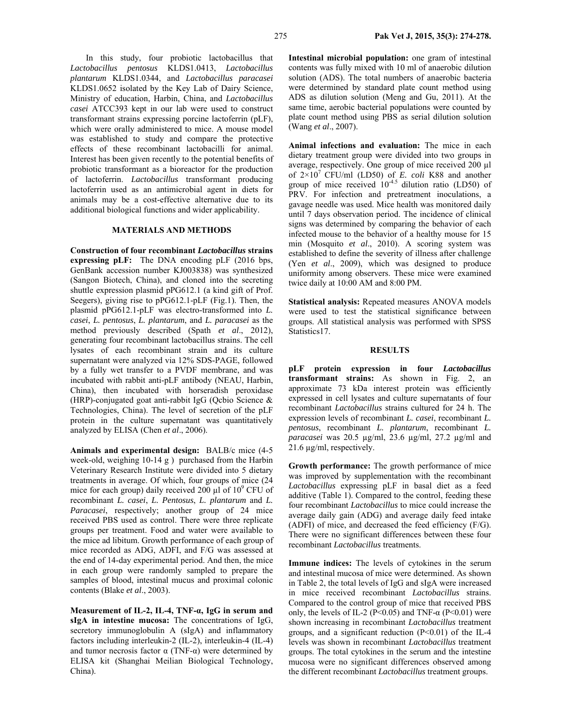In this study, four probiotic lactobacillus that *Lactobacillus pentosus* KLDS1.0413, *Lactobacillus plantarum* KLDS1.0344, and *Lactobacillus paracasei*  KLDS1.0652 isolated by the Key Lab of Dairy Science, Ministry of education, Harbin, China, and *Lactobacillus casei* ATCC393 kept in our lab were used to construct transformant strains expressing porcine lactoferrin (pLF), which were orally administered to mice. A mouse model was established to study and compare the protective effects of these recombinant lactobacilli for animal. Interest has been given recently to the potential benefits of probiotic transformant as a bioreactor for the production of lactoferrin. *Lactobacillus* transformant producing lactoferrin used as an antimicrobial agent in diets for animals may be a cost-effective alternative due to its additional biological functions and wider applicability.

### **MATERIALS AND METHODS**

**Construction of four recombinant** *Lactobacillus* **strains expressing pLF:** The DNA encoding pLF (2016 bps, GenBank accession number KJ003838) was synthesized (Sangon Biotech, China), and cloned into the secreting shuttle expression plasmid pPG612.1 (a kind gift of Prof. Seegers), giving rise to pPG612.1-pLF (Fig.1). Then, the plasmid pPG612.1-pLF was electro-transformed into *L. casei*, *L. pentosus*, *L. plantarum*, and *L. paracasei* as the method previously described (Spath *et al*., 2012), generating four recombinant lactobacillus strains. The cell lysates of each recombinant strain and its culture supernatant were analyzed via 12% SDS-PAGE, followed by a fully wet transfer to a PVDF membrane, and was incubated with rabbit anti-pLF antibody (NEAU, Harbin, China), then incubated with horseradish peroxidase (HRP)-conjugated goat anti-rabbit IgG (Qcbio Science & Technologies, China). The level of secretion of the pLF protein in the culture supernatant was quantitatively analyzed by ELISA (Chen *et al*., 2006).

**Animals and experimental design:** BALB/c mice (4-5 week-old, weighing 10-14 g ) purchased from the Harbin Veterinary Research Institute were divided into 5 dietary treatments in average. Of which, four groups of mice (24 mice for each group) daily received 200  $\mu$ l of 10<sup>9</sup> CFU of recombinant *L. casei*, *L. Pentosus*, *L. plantarum* and *L. Paracasei*, respectively; another group of 24 mice received PBS used as control. There were three replicate groups per treatment. Food and water were available to the mice ad libitum. Growth performance of each group of mice recorded as ADG, ADFI, and F/G was assessed at the end of 14-day experimental period. And then, the mice in each group were randomly sampled to prepare the samples of blood, intestinal mucus and proximal colonic contents (Blake *et al*., 2003).

**Measurement of IL-2, IL-4, TNF-α, IgG in serum and sIgA in intestine mucosa:** The concentrations of IgG, secretory immunoglobulin A (sIgA) and inflammatory factors including interleukin-2 (IL-2), interleukin-4 (IL-4) and tumor necrosis factor  $\alpha$  (TNF- $\alpha$ ) were determined by ELISA kit (Shanghai Meilian Biological Technology, China).

**Intestinal microbial population:** one gram of intestinal contents was fully mixed with 10 ml of anaerobic dilution solution (ADS). The total numbers of anaerobic bacteria were determined by standard plate count method using ADS as dilution solution (Meng and Gu, 2011). At the same time, aerobic bacterial populations were counted by plate count method using PBS as serial dilution solution (Wang *et al*., 2007).

**Animal infections and evaluation:** The mice in each dietary treatment group were divided into two groups in average, respectively. One group of mice received 200 µl of 2×107 CFU/ml (LD50) of *E. coli* K88 and another group of mice received  $10^{-4.5}$  dilution ratio (LD50) of PRV. For infection and pretreatment inoculations, a gavage needle was used. Mice health was monitored daily until 7 days observation period. The incidence of clinical signs was determined by comparing the behavior of each infected mouse to the behavior of a healthy mouse for 15 min (Mosquito *et al*., 2010). A scoring system was established to define the severity of illness after challenge (Yen *et al*., 2009), which was designed to produce uniformity among observers. These mice were examined twice daily at 10:00 AM and 8:00 PM.

**Statistical analysis:** Repeated measures ANOVA models were used to test the statistical significance between groups. All statistical analysis was performed with SPSS Statistics17.

#### **RESULTS**

**pLF protein expression in four** *Lactobacillus* **transformant strains:** As shown in Fig. 2, an approximate 73 kDa interest protein was efficiently expressed in cell lysates and culture supernatants of four recombinant *Lactobacillus* strains cultured for 24 h. The expression levels of recombinant *L. casei*, recombinant *L. pentosus*, recombinant *L. plantarum*, recombinant *L. paracasei* was 20.5 µg/ml, 23.6 µg/ml, 27.2 µg/ml and 21.6 µg/ml, respectively.

**Growth performance:** The growth performance of mice was improved by supplementation with the recombinant *Lactobacillus* expressing pLF in basal diet as a feed additive (Table 1). Compared to the control, feeding these four recombinant *Lactobacillus* to mice could increase the average daily gain (ADG) and average daily feed intake (ADFI) of mice, and decreased the feed efficiency (F/G). There were no significant differences between these four recombinant *Lactobacillus* treatments.

**Immune indices:** The levels of cytokines in the serum and intestinal mucosa of mice were determined. As shown in Table 2, the total levels of IgG and sIgA were increased in mice received recombinant *Lactobacillus* strains. Compared to the control group of mice that received PBS only, the levels of IL-2 (P<0.05) and TNF- $\alpha$  (P<0.01) were shown increasing in recombinant *Lactobacillus* treatment groups, and a significant reduction  $(P<0.01)$  of the IL-4 levels was shown in recombinant *Lactobacillus* treatment groups. The total cytokines in the serum and the intestine mucosa were no significant differences observed among the different recombinant *Lactobacillus* treatment groups.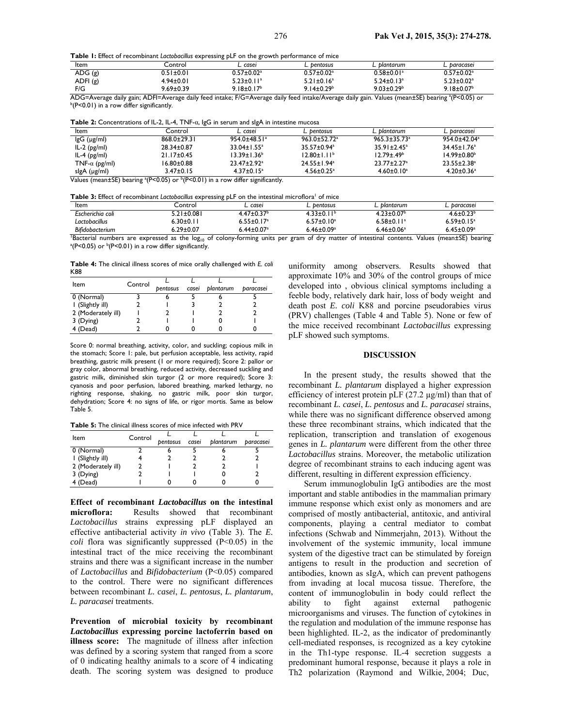**Table 1:** Effect of recombinant *Lactobacillus* expressing pLF on the growth performance of mice

| Item     | _ontrol_        | $\sim$ caser            | bentosus ــ                  | blantarum                    | baracaseı                    |
|----------|-----------------|-------------------------|------------------------------|------------------------------|------------------------------|
| ADG(g)   | 0.51±0.01       | $0.57 \pm 0.02^{\rm a}$ | $0.57 \pm 0.02$ <sup>a</sup> | $0.58 \pm 0.01$ <sup>a</sup> | $0.57\pm0.02^{\mathrm{a}}$   |
| ADFI (g) | 4.94±0.01       | $5.23 \pm 0.11^a$       | $5.21 \pm 0.16^a$            | $5.24 \pm 0.13$ <sup>a</sup> | $5.23 \pm 0.02$ <sup>a</sup> |
| F/G      | $9.69 \pm 0.39$ | $9.18 \pm 0.17^b$       | $9.14 \pm 0.29^b$            | $9.03 \pm 0.29^b$            | $9.18 \pm 0.07^{\circ}$      |

ADG=Average daily gain; ADFI=Average daily feed intake; F/G=Average daily feed intake/Average daily gain. Values (mean±SE) bearing ª(P<0.05) or<br><sup>b</sup>/Pc/0.01) in a row differ significantly  $b(P<0.01)$  in a row differ significantly.

**Table 2:** Concentrations of IL-2, IL-4, TNF-α, IgG in serum and sIgA in intestine mucosa

| Item                  | Control                                  | L. caseı                      | L. bentosus                   | L. blantarum                  | L. baracasei                 |
|-----------------------|------------------------------------------|-------------------------------|-------------------------------|-------------------------------|------------------------------|
| $lgG$ ( $\mu$ g/ml)   | $868.0 \pm 29.3$                         | $954.0 + 48.51$ <sup>a</sup>  | $963.0 + 52.72$ <sup>a</sup>  | $965.3 + 35.73$ <sup>a</sup>  | $954.0 + 42.04$ <sup>a</sup> |
| $IL-2$ ( $pg/ml$ )    | $28.34 \pm 0.87$                         | $33.04 \pm 1.55^{\circ}$      | $35.57 \pm 0.94$ <sup>a</sup> | $35.91 \pm 2.45^{\circ}$      | $34.45 \pm 1.76^a$           |
| IL-4 $(pg/ml)$        | $21.17 \pm 0.45$                         | 13.39±1.36 <sup>b</sup>       | $12.80 \pm 1.11^b$            | $12.79 + 49b$                 | $14.99 + 0.80b$              |
| TNF- $\alpha$ (pg/ml) | 16.80±0.88                               | $23.47 \pm 2.92$ <sup>a</sup> | $24.55 \pm 1.94$ <sup>a</sup> | $23.77 \pm 2.27$ <sup>a</sup> | $23.55 \pm 2.38^a$           |
| slgA (µg/ml)          | $3.47 \pm 0.15$<br>$h = 1, h = 1, h = 1$ | $4.37 \pm 0.15^a$             | $4.56 \pm 0.25$ <sup>a</sup>  | $4.60 \pm 0.10^a$             | $4.20 \pm 0.36$ <sup>a</sup> |

Values (mean $\pm$ SE) bearing  $^{a}$ (P<0.05) or  $^{b}$ (P<0.01) in a row differ significantly.

Table 3: Effect of recombinant *Lactobacillus* expressing pLF on the intestinal microflora<sup>1</sup> of mice

| Item                   | Control                                                                                                                  | casei                        | L. bentosus       | blantarum                    | baracasei                   |
|------------------------|--------------------------------------------------------------------------------------------------------------------------|------------------------------|-------------------|------------------------------|-----------------------------|
| Escherichia coli       | $5.21 \pm 0.081$                                                                                                         | $4.47 \pm 0.37$ <sup>b</sup> | $4.33 \pm 0.11^b$ | $4.23 \pm 0.07$ <sup>b</sup> | $4.6 \pm 0.23^b$            |
| Lactobacillus          | $6.30 \pm 0.11$                                                                                                          | $6.55 \pm 0.17$ <sup>a</sup> | $6.57 \pm 0.10^a$ | $6.58 \pm 0.11$ <sup>a</sup> | $6.59 \pm 0.15^a$           |
| <b>Bifidobacterium</b> | $6.29 \pm 0.07$                                                                                                          | $6.44 \pm 0.07$ <sup>a</sup> | $6.46 \pm 0.09^a$ | $6.46 \pm 0.06^a$            | $6.45 + 0.09a$              |
|                        | Bacterial numbers are expressed as the $log_{10}$ of colony-forming units per gram of dry matter of intestinal contents. |                              |                   |                              | Values (mean±SE)<br>bearing |

<sup>1</sup>Bacterial numbers are expressed as the log<sub>10</sub> of colony-forming units per gram of dry matter of intestinal contents. Values (mean±SE) bearing <sup>a</sup>(P<0.01) in a row differ significantly.

**Table 4:** The clinical illness scores of mice orally challenged with *E. coli* K88

| Item               | Control |                 |       |           |           |
|--------------------|---------|-----------------|-------|-----------|-----------|
|                    |         | <b>bentosus</b> | casei | plantarum | paracasei |
| 0 (Normal)         |         |                 |       |           |           |
| I (Slightly ill)   |         |                 |       |           |           |
| 2 (Moderately ill) |         |                 |       |           |           |
| 3 (Dying)          |         |                 |       |           |           |
| 4 (Dead)           |         |                 |       |           |           |

Score 0: normal breathing, activity, color, and suckling; copious milk in the stomach; Score 1: pale, but perfusion acceptable, less activity, rapid breathing, gastric milk present (1 or more required); Score 2: pallor or gray color, abnormal breathing, reduced activity, decreased suckling and gastric milk, diminished skin turgor (2 or more required); Score 3: cyanosis and poor perfusion, labored breathing, marked lethargy, no righting response, shaking, no gastric milk, poor skin turgor, dehydration; Score 4: no signs of life, or rigor mortis. Same as below Table 5.

**Table 5:** The clinical illness scores of mice infected with PRV

| Item               | Control |          |       |           |           |
|--------------------|---------|----------|-------|-----------|-----------|
|                    |         | bentosus | casei | plantarum | paracasei |
| 0 (Normal)         |         |          |       |           |           |
| I (Slightly ill)   |         |          |       |           |           |
| 2 (Moderately ill) |         |          |       |           |           |
| 3 (Dying)          |         |          |       |           |           |
| 4 (Dead)           |         |          |       |           |           |

**Effect of recombinant** *Lactobacillus* **on the intestinal microflora:** Results showed that recombinant *Lactobacillus* strains expressing pLF displayed an effective antibacterial activity *in vivo* (Table 3). The *E. coli* flora was significantly suppressed (P<0.05) in the intestinal tract of the mice receiving the recombinant strains and there was a significant increase in the number of *Lactobacillus* and *Bifidobacterium* (P<0.05) compared to the control. There were no significant differences between recombinant *L. casei*, *L. pentosus*, *L. plantarum*, *L. paracasei* treatments.

**Prevention of microbial toxicity by recombinant**  *Lactobacillus* **expressing porcine lactoferrin based on illness score:** The magnitude of illness after infection was defined by a scoring system that ranged from a score of 0 indicating healthy animals to a score of 4 indicating death. The scoring system was designed to produce

uniformity among observers. Results showed that approximate 10% and 30% of the control groups of mice developed into , obvious clinical symptoms including a feeble body, relatively dark hair, loss of body weight and death post *E. coli* K88 and porcine pseudorabies virus (PRV) challenges (Table 4 and Table 5). None or few of the mice received recombinant *Lactobacillus* expressing pLF showed such symptoms.

#### **DISCUSSION**

In the present study, the results showed that the recombinant *L. plantarum* displayed a higher expression efficiency of interest protein pLF (27.2 µg/ml) than that of recombinant *L. casei*, *L. pentosus* and *L. paracasei* strains, while there was no significant difference observed among these three recombinant strains, which indicated that the replication, transcription and translation of exogenous genes in *L. plantarum* were different from the other three *Lactobacillus* strains. Moreover, the metabolic utilization degree of recombinant strains to each inducing agent was different, resulting in different expression efficiency.

Serum immunoglobulin IgG antibodies are the most important and stable antibodies in the mammalian primary immune response which exist only as monomers and are comprised of mostly antibacterial, antitoxic, and antiviral components, playing a central mediator to combat infections (Schwab and Nimmerjahn, 2013). Without the involvement of the systemic immunity, local immune system of the digestive tract can be stimulated by foreign antigens to result in the production and secretion of antibodies, known as sIgA, which can prevent pathogens from invading at local mucosa tissue. Therefore, the content of immunoglobulin in body could reflect the ability to fight against external pathogenic microorganisms and viruses. The function of cytokines in the regulation and modulation of the immune response has been highlighted. IL-2, as the indicator of predominantly cell-mediated responses, is recognized as a key cytokine in the Th1-type response. IL-4 secretion suggests a predominant humoral response, because it plays a role in Th2 polarization (Raymond and Wilkie, 2004; Duc,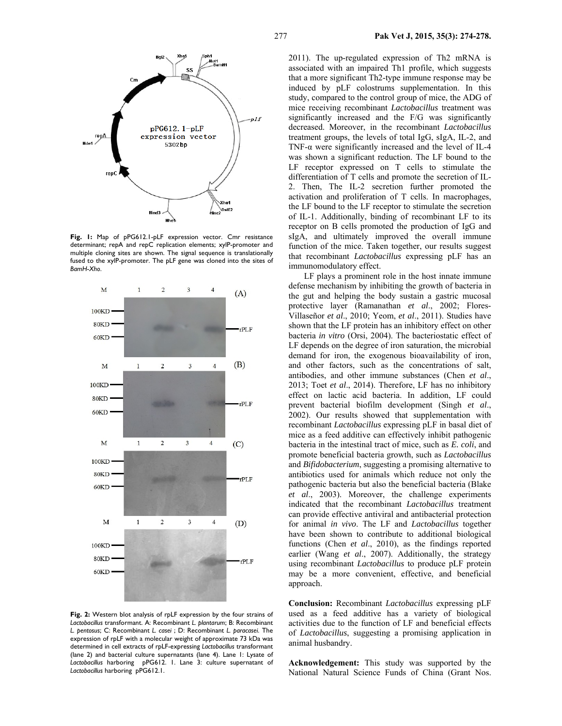

**Fig. 1:** Map of pPG612.1-pLF expression vector. Cmr resistance determinant; repA and repC replication elements; xylP-promoter and multiple cloning sites are shown. The signal sequence is translationally fused to the xylP-promoter. The pLF gene was cloned into the sites of *BamH*-*Xho*.



**Fig. 2:** Western blot analysis of rpLF expression by the four strains of *Lactobacillus* transformant. A: Recombinant *L. plantarum*; B: Recombinant *L. pentosus*; C: Recombinant *L. casei* ; D: Recombinant *L. paracasei*. The expression of rpLF with a molecular weight of approximate 73 kDa was determined in cell extracts of rpLF-expressing *Lactobacillus* transformant (lane 2) and bacterial culture supernatants (lane 4). Lane 1: Lysate of *Lactobacillus* harboring pPG612. 1. Lane 3: culture supernatant of *Lactobacillus* harboring pPG612.1.

2011). The up-regulated expression of Th2 mRNA is associated with an impaired Th1 profile, which suggests that a more significant Th2-type immune response may be induced by pLF colostrums supplementation. In this study, compared to the control group of mice, the ADG of mice receiving recombinant *Lactobacillus* treatment was significantly increased and the F/G was significantly decreased. Moreover, in the recombinant *Lactobacillus* treatment groups, the levels of total IgG, sIgA, IL-2, and TNF-α were significantly increased and the level of IL-4 was shown a significant reduction. The LF bound to the LF receptor expressed on T cells to stimulate the differentiation of T cells and promote the secretion of IL-2. Then, The IL-2 secretion further promoted the activation and proliferation of T cells. In macrophages, the LF bound to the LF receptor to stimulate the secretion of IL-1. Additionally, binding of recombinant LF to its receptor on B cells promoted the production of IgG and sIgA, and ultimately improved the overall immune function of the mice. Taken together, our results suggest that recombinant *Lactobacillus* expressing pLF has an immunomodulatory effect.

LF plays a prominent role in the host innate immune defense mechanism by inhibiting the growth of bacteria in the gut and helping the body sustain a gastric mucosal protective layer (Ramanathan *et al*., 2002; Flores-Villaseñor *et al*., 2010; Yeom, *et al*., 2011). Studies have shown that the LF protein has an inhibitory effect on other bacteria *in vitro* (Orsi, 2004). The bacteriostatic effect of LF depends on the degree of iron saturation, the microbial demand for iron, the exogenous bioavailability of iron, and other factors, such as the concentrations of salt, antibodies, and other immune substances (Chen *et al*., 2013; Toet *et al*., 2014). Therefore, LF has no inhibitory effect on lactic acid bacteria. In addition, LF could prevent bacterial biofilm development (Singh *et al*., 2002). Our results showed that supplementation with recombinant *Lactobacillus* expressing pLF in basal diet of mice as a feed additive can effectively inhibit pathogenic bacteria in the intestinal tract of mice, such as *E. coli*, and promote beneficial bacteria growth, such as *Lactobacillus* and *Bifidobacterium*, suggesting a promising alternative to antibiotics used for animals which reduce not only the pathogenic bacteria but also the beneficial bacteria (Blake *et al*., 2003). Moreover, the challenge experiments indicated that the recombinant *Lactobacillus* treatment can provide effective antiviral and antibacterial protection for animal *in vivo*. The LF and *Lactobacillus* together have been shown to contribute to additional biological functions (Chen *et al*., 2010), as the findings reported earlier (Wang *et al*., 2007). Additionally, the strategy using recombinant *Lactobacillus* to produce pLF protein may be a more convenient, effective, and beneficial approach.

**Conclusion:** Recombinant *Lactobacillus* expressing pLF used as a feed additive has a variety of biological activities due to the function of LF and beneficial effects of *Lactobacillus*, suggesting a promising application in animal husbandry.

**Acknowledgement:** This study was supported by the National Natural Science Funds of China (Grant Nos.